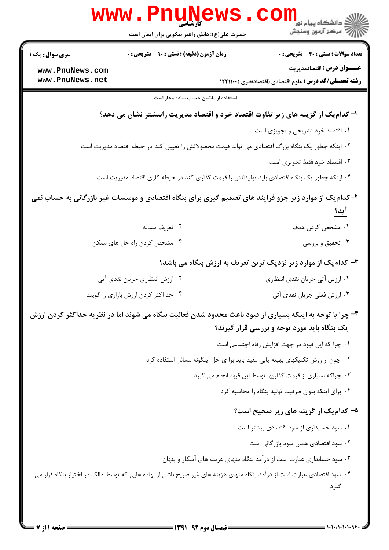|                        | www.PnuNews                                                                                       |                                                                                                                                  |  |  |  |
|------------------------|---------------------------------------------------------------------------------------------------|----------------------------------------------------------------------------------------------------------------------------------|--|--|--|
|                        | حضرت علی(ع): دانش راهبر نیکویی برای ایمان است                                                     | ر دانشگاه پيام نور <mark>−−</mark><br>ار مرکز آزمون وسنجش                                                                        |  |  |  |
| <b>سری سوال :</b> یک ۱ | <b>زمان آزمون (دقیقه) : تستی : ۹۰ قشریحی : 0</b>                                                  | <b>تعداد سوالات : تستي : 40 ٪ تشريحي : 0</b>                                                                                     |  |  |  |
| www.PnuNews.com        |                                                                                                   | <b>عنـــوان درس:</b> اقتصادمدیریت                                                                                                |  |  |  |
| www.PnuNews.net        |                                                                                                   | <b>رشته تحصیلی/کد درس:</b> علوم اقتصادی (اقتصادنظری ) ۱۲۲۱۱۰۰                                                                    |  |  |  |
|                        | استفاده از ماشین حساب ساده مجاز است                                                               |                                                                                                                                  |  |  |  |
|                        |                                                                                                   | ا- کدام یک از گزینه های زیر تفاوت اقتصاد خرد و اقتصاد مدیریت رابیشتر نشان می دهد؟                                                |  |  |  |
|                        |                                                                                                   | ٠١ اقتصاد خرد تشريحي و تجويزي است                                                                                                |  |  |  |
|                        | ۰۲ اینکه چطور یک بنگاه بزرگ اقتصادی می تواند قیمت محصولاتش را تعیین کند در حیطه اقتصاد مدیریت است |                                                                                                                                  |  |  |  |
|                        |                                                                                                   | ۰۳ اقتصاد خرد فقط تجویزی است                                                                                                     |  |  |  |
|                        |                                                                                                   | ۰۴ اینکه چطور یک بنگاه اقتصادی باید تولیداتش را قیمت گذاری کند در حیطه کاری اقتصاد مدیریت است                                    |  |  |  |
|                        |                                                                                                   | ۲- کدام یک از موارد زیر جزو فرایند های تصمیم گیری برای بنگاه اقتصادی و موسسات غیر بازرگانی به حساب <u>نمی</u>                    |  |  |  |
|                        |                                                                                                   | <u>آيد؟</u>                                                                                                                      |  |  |  |
|                        | ۰۲ تعريف مساله                                                                                    | ۰۱ مشخص کردن هدف                                                                                                                 |  |  |  |
|                        | ۰۴ مشخص کردن راه حل های ممکن                                                                      | ۰۳ تحقیق و بررسی                                                                                                                 |  |  |  |
|                        |                                                                                                   | ۳- کدامیک از موارد زیر نزدیک ترین تعریف به ارزش بنگاه می باشد؟                                                                   |  |  |  |
|                        | ۰۲ ارزش انتظاری جریان نقدی آتی                                                                    | ۰۱ ارزش آتی جریان نقدی انتظاری                                                                                                   |  |  |  |
|                        | ۰۴ حد اکثر کردن ارزش بازاری را گویند                                                              | ۰۳ ارزش فعلی جریان نقدی آتی                                                                                                      |  |  |  |
|                        |                                                                                                   | ۴- چرا با توجه به اینکه بسیاری از قیود باعث محدود شدن فعالیت بنگاه می شوند اما در نظریه حداکثر کردن ارزش                         |  |  |  |
|                        |                                                                                                   | یک بنگاه باید مورد توجه و بررسی قرار گیرند؟                                                                                      |  |  |  |
|                        |                                                                                                   | ٠١. چرا كه اين قيود در جهت افزايش رفاه اجتماعي است                                                                               |  |  |  |
|                        |                                                                                                   | ۰۲ چون از روش تکنیکهای بهینه یابی مقید باید برا ی حل اینگونه مسائل استفاده کرد                                                   |  |  |  |
|                        |                                                                                                   | ۰۳ چراکه بسیاری از قیمت گذاریها توسط این قیود انجام می گیرد                                                                      |  |  |  |
|                        |                                                                                                   | ۰۴ برای اینکه بتوان ظرفیت تولید بنگاه را محاسبه کرد                                                                              |  |  |  |
|                        |                                                                                                   | ۵– کدام یک از گزینه های زیر صحیح است؟                                                                                            |  |  |  |
|                        |                                                                                                   | ٠١ سود حسابداري از سود اقتصادي بيشتر است                                                                                         |  |  |  |
|                        |                                                                                                   | ۰۲ سود اقتصادی همان سود بازرگانی است                                                                                             |  |  |  |
|                        |                                                                                                   | ۰۳ سود حسابداری عبارت است از درآمد بنگاه منهای هزینه های آشکار و پنهان                                                           |  |  |  |
|                        |                                                                                                   | ۰۴ سود اقتصادی عبارت است از درآمد بنگاه منهای هزینه های غیر صریح ناشی از نهاده هایی که توسط مالک در اختیار بنگاه قرار می<br>گيرد |  |  |  |
|                        |                                                                                                   |                                                                                                                                  |  |  |  |

 $= 1.1 - 11.1 - 1.99$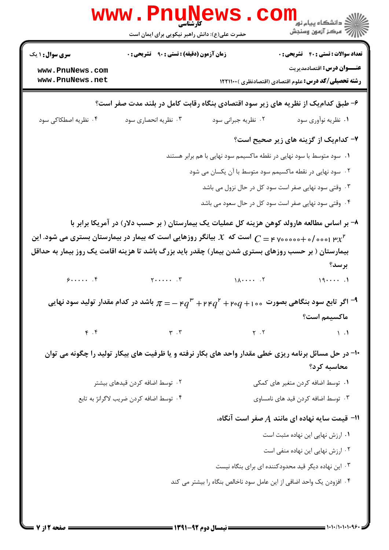|                                    | WWW . PIIUN<br>کارشناسی<br>حضرت علی(ع): دانش راهبر نیکویی برای ایمان است |                                                                                                                                                                                                                                    | ڪ دانشڪاه پيام نور<br><mark>ر</mark> ∕ مرڪز آزمون وسنڊش                           |
|------------------------------------|--------------------------------------------------------------------------|------------------------------------------------------------------------------------------------------------------------------------------------------------------------------------------------------------------------------------|-----------------------------------------------------------------------------------|
| <b>سری سوال : ۱ یک</b>             | زمان آزمون (دقیقه) : تستی : ۹۰٪ تشریحی : ۰                               |                                                                                                                                                                                                                                    | <b>تعداد سوالات : تستی : 40 - تشریحی : 0</b><br><b>عنـــوان درس:</b> اقتصادمدیریت |
| www.PnuNews.com<br>www.PnuNews.net |                                                                          |                                                                                                                                                                                                                                    | <b>رشته تحصیلی/کد درس:</b> علوم اقتصادی (اقتصادنظری ) ۱۲۲۱۱۰۰                     |
|                                    |                                                                          | ۶- طبق کدام یک از نظر یه های زیر سود اقتصادی بنگاه رقابت کامل در بلند مدت صفر است؟                                                                                                                                                 |                                                                                   |
| ۰۴ نظریه اصطکاکی سود               | ۰۳ نظریه انحصاری سود                                                     | ۰۲ نظریه جبرانی سود                                                                                                                                                                                                                | ۰۱ نظریه نوآوری سود                                                               |
|                                    |                                                                          |                                                                                                                                                                                                                                    | ۷- کدام یک از گزینه های زیر صحیح است؟                                             |
|                                    |                                                                          | <b>۱.</b> سود متوسط با سود نهایی در نقطه ماکسیمم سود نهایی با هم برابر هستند                                                                                                                                                       |                                                                                   |
|                                    |                                                                          | ۰۲ سود نهایی در نقطه ماکسیمم سود متوسط با آن یکسان می شود                                                                                                                                                                          |                                                                                   |
|                                    |                                                                          | ۰۳ وقتی سود نهایی صفر است سود کل در حال نزول می باشد                                                                                                                                                                               |                                                                                   |
|                                    |                                                                          | ۰۴ وقتی سود نهایی صفر است سود کل در حال سعود می باشد                                                                                                                                                                               |                                                                                   |
|                                    |                                                                          | ۸– بر اساس مطالعه هارولد کوهن هزینه کل عملیات یک بیمارستان ( بر حسب دلار) در آمریکا برابر با<br>است که $\mathcal X$ بیانگر روزهایی است که بیمار در بیمارستان بستری می شود. این $C=$ ۲ مه $\circ$ ۰۰۰ مود. این $\chi^{\mathfrak p}$ |                                                                                   |
|                                    |                                                                          | بیمارستان ( بر حسب روزهای بستری شدن بیمار) چقدر باید بزرگ باشد تا هزینه اقامت یک روز بیمار به حداقل                                                                                                                                | برسد؟                                                                             |
|                                    |                                                                          | $9$ $9$                                                                                                                                                                                                                            | 191                                                                               |
|                                    |                                                                          | اگر تابع سود بنگاهی بصورت ۲۰۰ $q$ ۰۲ + ۳ $q^{\mathfrak{p}}$ ۲ + ۳ ا $q^{\mathfrak{p}}$ + ۲ ا $q^{\mathfrak{p}}$ + ۲ اگر تابع سود نهایی $\tau$                                                                                      |                                                                                   |
|                                    |                                                                          |                                                                                                                                                                                                                                    | ماكسيمم است؟                                                                      |
| $\mathfrak{f}$ . $\mathfrak{f}$    | $\mathbf{r}$ $\mathbf{r}$                                                | $\gamma$ . $\gamma$                                                                                                                                                                                                                | $\lambda$ .                                                                       |
|                                    |                                                                          | ۱۰- در حل مسائل برنامه ریزی خطی مقدار واحد های بکار نرفته و یا ظرفیت های بیکار تولید را چگونه می توان                                                                                                                              | محاسبه کرد؟                                                                       |
|                                    | ۰۲ توسط اضافه کردن قیدهای بیشتر                                          |                                                                                                                                                                                                                                    | ۰۱ توسط اضافه کردن متغیر های کمکی                                                 |
|                                    | ۰۴ توسط اضافه كردن ضريب لاگرانژ به تابع                                  |                                                                                                                                                                                                                                    | ۰۳ توسط اضافه کردن قید های نامساوی                                                |
|                                    |                                                                          |                                                                                                                                                                                                                                    | ا = قیمت سایه نهاده ای مانند $A$ صفر است آنگاه، $\,$                              |
|                                    |                                                                          |                                                                                                                                                                                                                                    | ۰۱ ارزش نهایی این نهاده مثبت است                                                  |
|                                    |                                                                          |                                                                                                                                                                                                                                    | ۰۲ ارزش نهایی این نهاده منفی است                                                  |
|                                    |                                                                          |                                                                                                                                                                                                                                    | ۰۳ این نهاده دیگر قید محدودکننده ای برای بنگاه نیست                               |
|                                    |                                                                          | ۰۴ افزودن یک واحد اضافی از این عامل سود ناخالص بنگاه را بیشتر می کند                                                                                                                                                               |                                                                                   |
|                                    |                                                                          |                                                                                                                                                                                                                                    |                                                                                   |
|                                    |                                                                          |                                                                                                                                                                                                                                    |                                                                                   |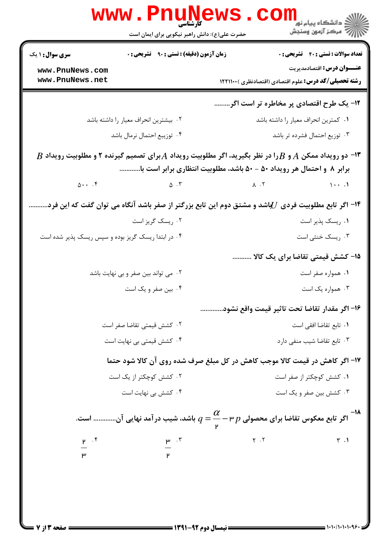|                                    | www.PnuNews<br>حضرت علی(ع): دانش راهبر نیکویی برای ایمان است                                                                                                                                                                     |                                                               | لاد دانشگاه پيام نور <mark>- -</mark><br>  /> مرکز آزمون وسنجش |
|------------------------------------|----------------------------------------------------------------------------------------------------------------------------------------------------------------------------------------------------------------------------------|---------------------------------------------------------------|----------------------------------------------------------------|
| <b>سری سوال : ۱ یک</b>             | <b>زمان آزمون (دقیقه) : تستی : ۹۰ تشریحی : 0</b>                                                                                                                                                                                 |                                                               | <b>تعداد سوالات : تستی : 40 ٪ تشریحی : 0</b>                   |
| www.PnuNews.com<br>www.PnuNews.net |                                                                                                                                                                                                                                  | <b>رشته تحصیلی/کد درس:</b> علوم اقتصادی (اقتصادنظری ) ۱۲۲۱۱۰۰ | <b>عنـــوان درس:</b> اقتصادمدیریت                              |
|                                    |                                                                                                                                                                                                                                  | ۱۲- یک طرح اقتصادی پر مخاطره تر است اگر                       |                                                                |
|                                    | ۰۲ بیشترین انحراف معیار را داشته باشد                                                                                                                                                                                            |                                                               | ۰۱ كمترين انحراف معيار را داشته باشد                           |
|                                    | ۰۴ توزیبع احتمال نرمال باشد                                                                                                                                                                                                      |                                                               | ۰۳ توزیع احتمال فشرده تر باشد                                  |
| $\Delta$                           | $B$ ا- دو رویداد ممکن $A$ و $B$ را در نظر بگیرید، اگر مطلوبیت رویداد $A$ برای تصمیم گیرنده ۲ و مطلوبیت رویداد $\bullet$<br>برابر ۸ و احتمال هر رویداد ۵۰ – ۵۰ باشد، مطلوبیت انتظاری برابر است با<br>$\Delta$ $\cdot$ $\tilde{r}$ | $\lambda$ . $\zeta$                                           | $1 \cdot \cdot \cdot$                                          |
|                                    |                                                                                                                                                                                                                                  |                                                               |                                                                |
|                                    | ۱۴– اگر تابع مطلوبیت فردی $U$ باشد و مشتق دوم این تابع بزرگتر از صفر باشد آنگاه می توان گفت که این فرد.<br>۰۲ ریسک گریز است                                                                                                      |                                                               | ٠١ ريسک پذير است                                               |
|                                    | ۰۴ در ابتدا ریسک گریز بوده و سپس ریسک پذیر شده است                                                                                                                                                                               |                                                               | ۰۳ ریسک خنثی است                                               |
|                                    |                                                                                                                                                                                                                                  |                                                               | ۱۵– کشش قیمتی تقاضا برای یک کالا                               |
|                                    | ۰۲ می تواند بین صفر و بی نهایت باشد                                                                                                                                                                                              |                                                               | ۰۱ همواره صفر است                                              |
|                                    | ۰۴ بین صفر و یک است                                                                                                                                                                                                              |                                                               | ۰۳ همواره یک است                                               |
|                                    |                                                                                                                                                                                                                                  | ۱۶– اگر مقدار تقاضا تحت تاثير قيمت واقع نشود                  |                                                                |
|                                    | ٠٢ كشش قيمتى تقاضا صفر است                                                                                                                                                                                                       |                                                               | ٠١. تابع تقاضا افقى است                                        |
|                                    | ۰۴ کشش قیمتی بی نهایت است                                                                                                                                                                                                        |                                                               | ۰۳ تابع تقاضا شیب منفی دارد                                    |
|                                    | ۱۷- اگر کاهش در قیمت کالا موجب کاهش در کل مبلغ صرف شده روی آن کالا شود حتما                                                                                                                                                      |                                                               |                                                                |
|                                    | ۰۲ کشش کوچکتر از یک است                                                                                                                                                                                                          |                                                               | ٠١ كشش كوچكتر از صفر است                                       |
|                                    | ۰۴ کشش بی نهایت است                                                                                                                                                                                                              |                                                               | ۰۳ کشش بین صفر و یک است                                        |
|                                    | اگر تابع معکوس تقاضا برای محصولی $p$ ۳ – $\dfrac{\alpha}{\mathsf{v}} = q$ باشد، شیب در آمد نهایی آن است.                                                                                                                         |                                                               |                                                                |
| $\mathbf{r}$ . $\mathbf{r}$        | $\mathsf{p}$ . $\mathsf{r}$                                                                                                                                                                                                      | $Y \cdot Y$                                                   | $\mathbf{r}$ .                                                 |
|                                    |                                                                                                                                                                                                                                  |                                                               |                                                                |
|                                    |                                                                                                                                                                                                                                  |                                                               |                                                                |

 $= 1.1 - 11.1 - 1.95$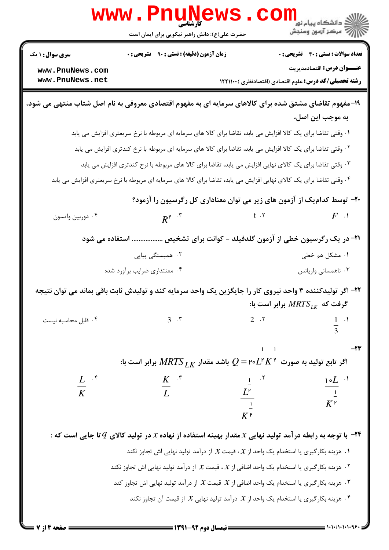|                                                                                                                 | <b>www.rnuilew</b><br>حضرت علی(ع): دانش راهبر نیکویی برای ایمان است                                                        |                                                               | رد دانشگاه پيام نور ■<br>ار <i>در دن آزمون</i> وسنجش |
|-----------------------------------------------------------------------------------------------------------------|----------------------------------------------------------------------------------------------------------------------------|---------------------------------------------------------------|------------------------------------------------------|
| <b>سری سوال : ۱ یک</b>                                                                                          | <b>زمان آزمون (دقیقه) : تستی : ۹۰ تشریحی : 0</b>                                                                           |                                                               | <b>تعداد سوالات : تستی : 40 - تشریحی : 0</b>         |
| www.PnuNews.com<br>www.PnuNews.net                                                                              |                                                                                                                            | <b>رشته تحصیلی/کد درس:</b> علوم اقتصادی (اقتصادنظری ) ۱۲۲۱۱۰۰ | <b>عنـــوان درس:</b> اقتصادمدیریت                    |
|                                                                                                                 | ۱۹-مفهوم تقاضای مشتق شده برای کالاهای سرمایه ای به مفهوم اقتصادی معروفی به نام اصل شتاب منتهی می شود،                      |                                                               | به موجب این اصل،                                     |
|                                                                                                                 | ۰۱ وقتی تقاضا برای یک کالا افزایش می یابد، تقاضا برای کالا های سرمایه ای مربوطه با نرخ سریعتری افزایش می یابد              |                                                               |                                                      |
|                                                                                                                 | ۲ . وقتی تقاضا برای یک کالا افزایش می یابد، تقاضا برای کالا های سرمایه ای مربوطه با نرخ کندتری افزایش می یابد              |                                                               |                                                      |
|                                                                                                                 | ۰۳ وقتی تقاضا برای یک کالای نهایی افزایش می یابد، تقاضا برای کالا های مربوطه با نرخ کندتری افزایش می یابد                  |                                                               |                                                      |
|                                                                                                                 | ۰۴ وقتی تقاضا برای یک کالای نهایی افزایش می یابد، تقاضا برای کالا های سرمایه ای مربوطه با نرخ سریعتری افزایش می یابد       |                                                               |                                                      |
|                                                                                                                 | +۲- توسط کدام یک از آزمون های زیر می توان معناداری کل رگرسیون را آزمود؟                                                    |                                                               |                                                      |
| ۰۴ دوربين واتسون                                                                                                | $R^{r}$ .                                                                                                                  | $t \cdot 7$                                                   | $F \cdot Y$                                          |
|                                                                                                                 | ۲۱- در یک رگرسیون خطی از آزمون گلدفیلد - کوانت برای تشخیص  استفاده می شود                                                  |                                                               |                                                      |
|                                                                                                                 | ۰۲ همبستگی پیاپی                                                                                                           |                                                               | ۰۱ مشکل هم خطی                                       |
|                                                                                                                 | ۰۴ معنتداري ضرايب برأورد شده                                                                                               |                                                               | ۰۳ ناهمسانی واریانس                                  |
|                                                                                                                 | ۲۲- اگر تولیدکننده ۳ واحد نیروی کار را جایگزین یک واحد سرمایه کند و تولیدش ثابت باقی بماند می توان نتیجه                   |                                                               | گرفت که $MRTS_{LK}$ برابر است با:                    |
| ۰۴ قابل محاسبه نیست                                                                                             | $3 \cdot 5$                                                                                                                | $2 \cdot 5$                                                   | $\frac{1}{3}$ .                                      |
|                                                                                                                 | اگر تابع تولید به صورت ۲ $L^{\mathsf{v}} K$ ۲۰ اگر تابع تولید به صورت ۷۰ $L^{\mathsf{v}}$ ۰ اگر تابع تولید به صورت         | $1 - 1$                                                       | -23                                                  |
| $\frac{L}{K}$ $\cdot$ <sup>*</sup>                                                                              | $\frac{K}{L}$ $\cdot$ $\cdot$                                                                                              |                                                               | $rac{1}{\sqrt{1-\frac{1}{2}}}$                       |
|                                                                                                                 |                                                                                                                            | $\frac{1}{L^P}$ . $\frac{1}{L}$                               | $K^{\nu}$                                            |
|                                                                                                                 |                                                                                                                            |                                                               |                                                      |
|                                                                                                                 | $\tau$ با توجه به رابطه در آمد تولید نهایی $x$ مقدار بهینه استفاده از نهاده $x$ در تولید کالای $q$ تا جایی است که $\tau$   |                                                               |                                                      |
|                                                                                                                 | د. هزینه بکارگیری یا استخدام یک واحد از $\mathcal X$ ، قیمت $\mathcal X$ از درآمد تولید نهایی اش تجاوز نکند $\cdot$        |                                                               |                                                      |
|                                                                                                                 | ۰۲ هزینه بکارگیری یا استخدام یک واحد اضافی از $\mathcal X$ ، قیمت $\mathcal X$ از درآمد تولید نهایی اش تجاوز نکند $\cdot$  |                                                               |                                                      |
| ۰۳ هزینه بکارگیری یا استخدام یک واحد اضافی از $\mathcal X$ قیمت $\mathcal X$ از درآمد تولید نهایی اش تجاوز کند. |                                                                                                                            |                                                               |                                                      |
|                                                                                                                 | ۰۴ هزینه بکارگیری یا استخدام یک واحد از $\mathcal X$ درآمد تولید نهایی $\mathcal X$ از قیمت آن تجاوز نکند. $^{\mathsf{F}}$ |                                                               |                                                      |

 $= 1.1 - 11.1 - 1.95$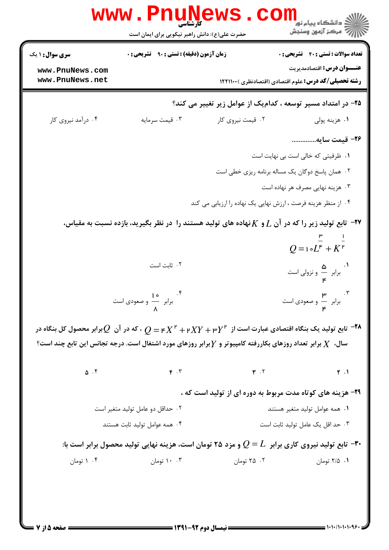| www.PnuNews.com    |                                    |                                                                                                                                                                                           |                                               |
|--------------------|------------------------------------|-------------------------------------------------------------------------------------------------------------------------------------------------------------------------------------------|-----------------------------------------------|
| www.PnuNews.net    |                                    | <b>رشته تحصیلی/کد درس:</b> علوم اقتصادی (اقتصادنظری ) ۱۲۲۱۱۰۰                                                                                                                             | <b>عنـــوان درس:</b> اقتصادمدیریت             |
|                    |                                    | ۲۵– در امتداد مسیر توسعه ، کدامیک از عوامل زیر تغییر می کند؟                                                                                                                              |                                               |
| ۰۴ درآمد نیروی کار | ۰۳ قیمت سرمایه                     | ۰۲ قیمت نیروی کار                                                                                                                                                                         | ۰۱ هزينه پولي                                 |
|                    |                                    |                                                                                                                                                                                           | ٢۶- قیمت سایه                                 |
|                    |                                    |                                                                                                                                                                                           | ٠١ ظرفيتي كه خالي است بي نهايت است            |
|                    |                                    | ۰۲ همان پاسخ دوگان یک مساله برنامه ریزی خطی است                                                                                                                                           |                                               |
|                    |                                    |                                                                                                                                                                                           | ۰۳ هزینه نهایی مصرف هر نهاده است              |
|                    |                                    | ۰۴ از منظر هزینه فرصت ، ارزش نهایی یک نهاده را ارزیابی می کند                                                                                                                             |                                               |
|                    |                                    | ۳۷- تابع تولید زیر را که در آن $L$ و $K$ نهاده های تولید هستند را در نظر بگیرید، بازده نسبت به مقیاس،                                                                                     | $Q = 1 \circ L^{\mathsf{r}} + K^{\mathsf{r}}$ |
|                    |                                    |                                                                                                                                                                                           |                                               |
|                    | ۰۲ ثابت است                        |                                                                                                                                                                                           | ۰۱ .<br>برابر هـ و نزولی است                  |
|                    | ۴<br>برابر — و صعودی است<br>.<br>٨ |                                                                                                                                                                                           | ۰۳ .<br>برابر — و صعودی است                   |
|                    |                                    | تابع تولید یک بنگاه اقتصادی عبارت است از $Y^{\,\mathsf{F}}+YY+\mathsf{F}\times K^\mathsf{F}+X$ م $Q=\mathsf{p}\times Q$ ، که در آن $Q$ برابر محصول کل بنگاه در $^{-\mathsf{Y}\mathsf{A}}$ |                                               |
|                    |                                    | سال، $X$ برابر تعداد روزهای بکاررفته کامپیوتر و $Y$ برابر روزهای مورد اشتغال است. درجه تجانس این تابع چند است؟                                                                            |                                               |
| $\Delta$ . ۴       | $F \cdot Y$                        | $\mathbf{r}$ . $\mathbf{r}$                                                                                                                                                               | $Y \cdot 1$                                   |
|                    |                                    | ۲۹- هزینه های کوتاه مدت مربوط به دوره ای از تولید است که ،                                                                                                                                |                                               |
|                    | ۰۲ حداقل دو عامل تولید متغیر است   |                                                                                                                                                                                           | ۰۱ همه عوامل تولید متغیر هستند                |
|                    | ۰۴ همه عوامل توليد ثابت هستند      |                                                                                                                                                                                           | ٠٣ حد اقل يک عامل توليد ثابت است              |
|                    |                                    | تابع تولید نیروی کاری برابر $L$ = $Q$ و مزد ۲۵ تومان است، هزینه نهایی تولید محصول برابر است با: "                                                                                         |                                               |
|                    | ۰۰ تومان                           | ۲۵ ۰۲ تومان می                                                                                                                                                                            | ٠١ ٢/٥ تومان                                  |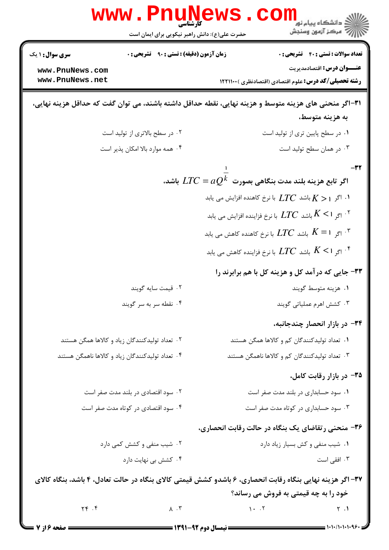|                        | <b>www . P</b> I<br>کارشناسی<br>حضرت علی(ع): دانش راهبر نیکویی برای ایمان است                             |                                                                    | ڪ دانشڪاه پيام نور<br>7- مرڪز آزمون وسنڊش              |
|------------------------|-----------------------------------------------------------------------------------------------------------|--------------------------------------------------------------------|--------------------------------------------------------|
| <b>سری سوال : ۱ یک</b> | <b>زمان آزمون (دقیقه) : تستی : ۹۰٪ تشریحی : 0</b>                                                         |                                                                    | <b>تعداد سوالات : تستی : 40 ٪ تشریحی : 0</b>           |
| www.PnuNews.com        |                                                                                                           |                                                                    | <b>عنـــوان درس:</b> اقتصادمدیریت                      |
| www.PnuNews.net        |                                                                                                           |                                                                    | رشته تحصیلی/کد درس: علوم اقتصادی (اقتصادنظری ) ۱۲۲۱۱۰۰ |
|                        | ۳۱–اگر منحنی های هزینه متوسط و هزینه نهایی، نقطه حداقل داشته باشند، می توان گفت که حداقل هزینه نهایی،     |                                                                    | به هزينه متوسط،                                        |
|                        | ۰۲ در سطح بالاتری از تولید است                                                                            |                                                                    | ٠١ در سطح پايين تري از توليد است                       |
|                        | ۰۴ همه موارد بالا امکان پذیر است                                                                          |                                                                    | ۰۳ در همان سطح تولید است                               |
|                        |                                                                                                           | اگر تابع هزینه بلند مدت بنگاهی بصورت $\mathit{LTC} = aQ^k$ باشد،   | -32                                                    |
|                        |                                                                                                           |                                                                    |                                                        |
|                        |                                                                                                           | ا. اگر ہ $K > 1$ باشد $LTC$ با نرخ کاهنده افزایش می یابد $K$       |                                                        |
|                        |                                                                                                           | ا اگر ا $K < 1$ باشد $LTC$ با نرخ فزاینده افزایش می یابد $K <$ ۱ ۰ |                                                        |
|                        |                                                                                                           | باشد $LTC$ باشد $LTC$ با نرخ کاهنده کاهش می یابد $K=$ ۱ $^\star$   |                                                        |
|                        |                                                                                                           | ا اگر ا $K < 1$ باشد $LTC$ با نرخ فزاینده کاهش می یابد $K < 1$     |                                                        |
|                        |                                                                                                           |                                                                    | ۳۳- جایی که درآمد کل و هزینه کل با هم برابرند را       |
|                        | ۰۲ قیمت سایه گویند                                                                                        |                                                                    | ۰۱ هزینه متوسط گویند                                   |
|                        | ۰۴ نقطه سر به سر گویند                                                                                    |                                                                    | ۰۳ کشش اهرم عملیاتی گویند                              |
|                        |                                                                                                           |                                                                    | ۳۴- در بازار انحصار چندجانبه،                          |
|                        | ۰۲ تعداد تولیدکنندگان زیاد و کالاها همگن هستند                                                            |                                                                    | ۰۱ تعداد تولیدکنندگان کم و کالاها همگن هستند           |
|                        | ۰۴ تعداد تولیدکنندگان زیاد و کالاها ناهمگن هستند                                                          |                                                                    | ۰۳ تعداد تولیدکنندگان کم و کالاها ناهمگن هستند         |
|                        |                                                                                                           |                                                                    | ۳۵- در بازار رقابت کامل،                               |
|                        | ۰۲ سود اقتصادی در بلند مدت صفر است                                                                        |                                                                    | ۰۱ سود حسابداری در بلند مدت صفر است                    |
|                        | ۰۴ سود اقتصادی در کوتاه مدت صفر است                                                                       |                                                                    | ۰۳ سود حسابداری در کوتاه مدت صفر است                   |
|                        |                                                                                                           | ۳۶- منحنی رتقاضای یک بنگاه در حالت رقابت انحصاری،                  |                                                        |
|                        | ۰۲ شیب منفی و کشش کمی دارد                                                                                |                                                                    | ٠١ شيب منفى وكش بسيار زياد دارد                        |
|                        | ۰۴ کشش بی نهایت دارد                                                                                      |                                                                    | ۰۳ افقی است                                            |
|                        | ۳۷– اگر هزینه نهایی بنگاه رقابت انحصاری، ۶ باشدو کشش قیمتی کالای بنگاه در حالت تعادل، ۴ باشد، بنگاه کالای |                                                                    |                                                        |
|                        |                                                                                                           |                                                                    | خود را به چه قیمتی به فروش می رساند؟                   |
| $Yf$ . $f$             | $\lambda$ . $\mu$                                                                                         | $\cdot \cdot \cdot$                                                | $\gamma$ .                                             |
| ـــــ صفحه ۱۶ز 7       |                                                                                                           |                                                                    |                                                        |